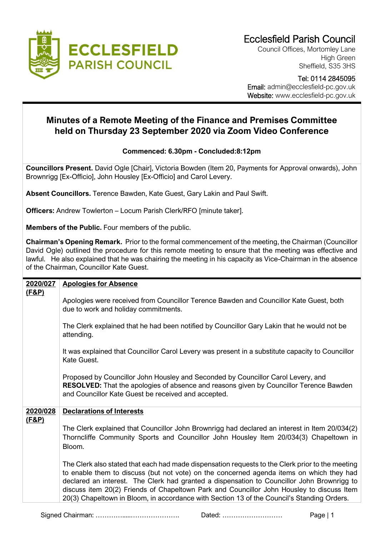

Council Offices, Mortomley Lane High Green Sheffield, S35 3HS

 Tel: 0114 2845095 Email: admin@ecclesfield-pc.gov.uk Website: www.ecclesfield-pc.gov.uk

# **Minutes of a Remote Meeting of the Finance and Premises Committee held on Thursday 23 September 2020 via Zoom Video Conference**

## **Commenced: 6.30pm - Concluded:8:12pm**

**Councillors Present.** David Ogle [Chair], Victoria Bowden (Item 20, Payments for Approval onwards), John Brownrigg [Ex-Officio], John Housley [Ex-Officio] and Carol Levery.

**Absent Councillors.** Terence Bawden, Kate Guest, Gary Lakin and Paul Swift.

**Officers:** Andrew Towlerton – Locum Parish Clerk/RFO [minute taker].

**Members of the Public.** Four members of the public.

**Chairman's Opening Remark.** Prior to the formal commencement of the meeting, the Chairman (Councillor David Ogle) outlined the procedure for this remote meeting to ensure that the meeting was effective and lawful. He also explained that he was chairing the meeting in his capacity as Vice-Chairman in the absence of the Chairman, Councillor Kate Guest.

| 2020/027         | <b>Apologies for Absence</b>                                                                                                                                                                                                                                                                                                                                                                                                                                                          |
|------------------|---------------------------------------------------------------------------------------------------------------------------------------------------------------------------------------------------------------------------------------------------------------------------------------------------------------------------------------------------------------------------------------------------------------------------------------------------------------------------------------|
| (F&P)            | Apologies were received from Councillor Terence Bawden and Councillor Kate Guest, both<br>due to work and holiday commitments.                                                                                                                                                                                                                                                                                                                                                        |
|                  | The Clerk explained that he had been notified by Councillor Gary Lakin that he would not be<br>attending.                                                                                                                                                                                                                                                                                                                                                                             |
|                  | It was explained that Councillor Carol Levery was present in a substitute capacity to Councillor<br>Kate Guest.                                                                                                                                                                                                                                                                                                                                                                       |
|                  | Proposed by Councillor John Housley and Seconded by Councillor Carol Levery, and<br><b>RESOLVED:</b> That the apologies of absence and reasons given by Councillor Terence Bawden<br>and Councillor Kate Guest be received and accepted.                                                                                                                                                                                                                                              |
| 2020/028         | <b>Declarations of Interests</b>                                                                                                                                                                                                                                                                                                                                                                                                                                                      |
| <u>(F&amp;P)</u> | The Clerk explained that Councillor John Brownrigg had declared an interest in Item 20/034(2)<br>Thorncliffe Community Sports and Councillor John Housley Item 20/034(3) Chapeltown in<br>Bloom.                                                                                                                                                                                                                                                                                      |
|                  | The Clerk also stated that each had made dispensation requests to the Clerk prior to the meeting<br>to enable them to discuss (but not vote) on the concerned agenda items on which they had<br>declared an interest. The Clerk had granted a dispensation to Councillor John Brownrigg to<br>discuss item 20(2) Friends of Chapeltown Park and Councillor John Housley to discuss Item<br>20(3) Chapeltown in Bloom, in accordance with Section 13 of the Council's Standing Orders. |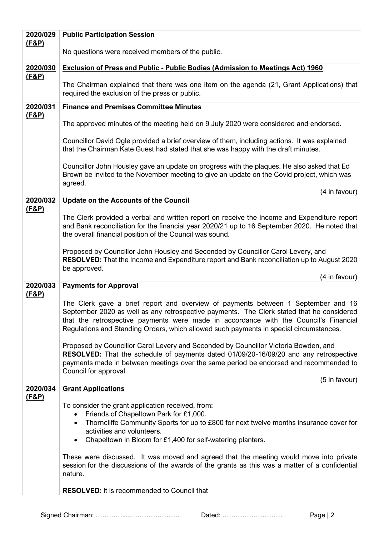| 2020/029                     | <b>Public Participation Session</b>                                                                                                                                                                                                                                                                                                                              |
|------------------------------|------------------------------------------------------------------------------------------------------------------------------------------------------------------------------------------------------------------------------------------------------------------------------------------------------------------------------------------------------------------|
| <u>(F&amp;P)</u>             | No questions were received members of the public.                                                                                                                                                                                                                                                                                                                |
| 2020/030                     | <b>Exclusion of Press and Public - Public Bodies (Admission to Meetings Act) 1960</b>                                                                                                                                                                                                                                                                            |
| <u>(F&amp;P)</u>             | The Chairman explained that there was one item on the agenda (21, Grant Applications) that<br>required the exclusion of the press or public.                                                                                                                                                                                                                     |
| 2020/031                     | <b>Finance and Premises Committee Minutes</b>                                                                                                                                                                                                                                                                                                                    |
| <u>(F&amp;P)</u>             | The approved minutes of the meeting held on 9 July 2020 were considered and endorsed.                                                                                                                                                                                                                                                                            |
|                              | Councillor David Ogle provided a brief overview of them, including actions. It was explained<br>that the Chairman Kate Guest had stated that she was happy with the draft minutes.                                                                                                                                                                               |
|                              | Councillor John Housley gave an update on progress with the plaques. He also asked that Ed<br>Brown be invited to the November meeting to give an update on the Covid project, which was<br>agreed.                                                                                                                                                              |
|                              | (4 in favour)                                                                                                                                                                                                                                                                                                                                                    |
| 2020/032<br><u>(F&amp;P)</u> | <b>Update on the Accounts of the Council</b>                                                                                                                                                                                                                                                                                                                     |
|                              | The Clerk provided a verbal and written report on receive the Income and Expenditure report<br>and Bank reconciliation for the financial year 2020/21 up to 16 September 2020. He noted that<br>the overall financial position of the Council was sound.                                                                                                         |
|                              | Proposed by Councillor John Housley and Seconded by Councillor Carol Levery, and<br>RESOLVED: That the Income and Expenditure report and Bank reconciliation up to August 2020<br>be approved.                                                                                                                                                                   |
|                              | (4 in favour)                                                                                                                                                                                                                                                                                                                                                    |
| 2020/033<br><u>(F&amp;P)</u> | <b>Payments for Approval</b>                                                                                                                                                                                                                                                                                                                                     |
|                              | The Clerk gave a brief report and overview of payments between 1 September and 16<br>September 2020 as well as any retrospective payments. The Clerk stated that he considered<br>that the retrospective payments were made in accordance with the Council's Financial<br>Regulations and Standing Orders, which allowed such payments in special circumstances. |
|                              | Proposed by Councillor Carol Levery and Seconded by Councillor Victoria Bowden, and<br>RESOLVED: That the schedule of payments dated 01/09/20-16/09/20 and any retrospective<br>payments made in between meetings over the same period be endorsed and recommended to<br>Council for approval.                                                                   |
|                              | (5 in favour)                                                                                                                                                                                                                                                                                                                                                    |
| 2020/034<br><u>(F&amp;P)</u> | <b>Grant Applications</b>                                                                                                                                                                                                                                                                                                                                        |
|                              | To consider the grant application received, from:<br>Friends of Chapeltown Park for £1,000.<br>Thorncliffe Community Sports for up to £800 for next twelve months insurance cover for<br>activities and volunteers.<br>Chapeltown in Bloom for £1,400 for self-watering planters.                                                                                |
|                              | These were discussed. It was moved and agreed that the meeting would move into private<br>session for the discussions of the awards of the grants as this was a matter of a confidential<br>nature.                                                                                                                                                              |
|                              | <b>RESOLVED:</b> It is recommended to Council that                                                                                                                                                                                                                                                                                                               |
|                              |                                                                                                                                                                                                                                                                                                                                                                  |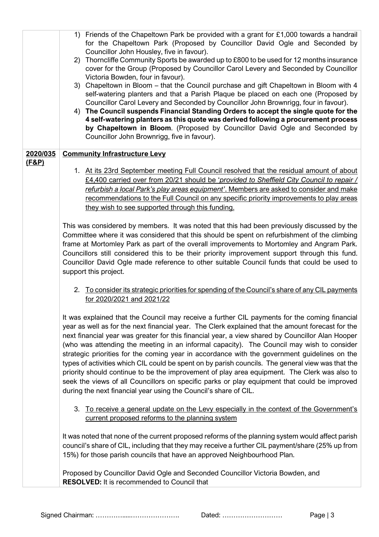|                  | 1) Friends of the Chapeltown Park be provided with a grant for £1,000 towards a handrail<br>for the Chapeltown Park (Proposed by Councillor David Ogle and Seconded by<br>Councillor John Housley, five in favour).<br>Thorncliffe Community Sports be awarded up to £800 to be used for 12 months insurance<br>2)<br>cover for the Group (Proposed by Councillor Carol Levery and Seconded by Councillor<br>Victoria Bowden, four in favour).<br>3) Chapeltown in Bloom – that the Council purchase and gift Chapeltown in Bloom with 4<br>self-watering planters and that a Parish Plaque be placed on each one (Proposed by<br>Councillor Carol Levery and Seconded by Councillor John Brownrigg, four in favour).<br>The Council suspends Financial Standing Orders to accept the single quote for the<br>4)<br>4 self-watering planters as this quote was derived following a procurement process<br>by Chapeltown in Bloom. (Proposed by Councillor David Ogle and Seconded by<br>Councillor John Brownrigg, five in favour). |
|------------------|-------------------------------------------------------------------------------------------------------------------------------------------------------------------------------------------------------------------------------------------------------------------------------------------------------------------------------------------------------------------------------------------------------------------------------------------------------------------------------------------------------------------------------------------------------------------------------------------------------------------------------------------------------------------------------------------------------------------------------------------------------------------------------------------------------------------------------------------------------------------------------------------------------------------------------------------------------------------------------------------------------------------------------------|
| 2020/035         | <b>Community Infrastructure Levy</b>                                                                                                                                                                                                                                                                                                                                                                                                                                                                                                                                                                                                                                                                                                                                                                                                                                                                                                                                                                                                |
| <u>(F&amp;P)</u> | 1. At its 23rd September meeting Full Council resolved that the residual amount of about<br>£4,400 carried over from 20/21 should be 'provided to Sheffield City Council to repair /<br>refurbish a local Park's play areas equipment'. Members are asked to consider and make<br>recommendations to the Full Council on any specific priority improvements to play areas<br>they wish to see supported through this funding.                                                                                                                                                                                                                                                                                                                                                                                                                                                                                                                                                                                                       |
|                  | This was considered by members. It was noted that this had been previously discussed by the<br>Committee where it was considered that this should be spent on refurbishment of the climbing<br>frame at Mortomley Park as part of the overall improvements to Mortomley and Angram Park.<br>Councillors still considered this to be their priority improvement support through this fund.<br>Councillor David Ogle made reference to other suitable Council funds that could be used to<br>support this project.                                                                                                                                                                                                                                                                                                                                                                                                                                                                                                                    |
|                  | To consider its strategic priorities for spending of the Council's share of any CIL payments<br>2.<br>for 2020/2021 and 2021/22                                                                                                                                                                                                                                                                                                                                                                                                                                                                                                                                                                                                                                                                                                                                                                                                                                                                                                     |
|                  | It was explained that the Council may receive a further CIL payments for the coming financial<br>year as well as for the next financial year. The Clerk explained that the amount forecast for the<br>next financial year was greater for this financial year, a view shared by Councillor Alan Hooper<br>(who was attending the meeting in an informal capacity). The Council may wish to consider<br>strategic priorities for the coming year in accordance with the government guidelines on the<br>types of activities which CIL could be spent on by parish councils. The general view was that the<br>priority should continue to be the improvement of play area equipment. The Clerk was also to<br>seek the views of all Councillors on specific parks or play equipment that could be improved<br>during the next financial year using the Council's share of CIL.                                                                                                                                                        |
|                  | 3. To receive a general update on the Levy especially in the context of the Government's<br>current proposed reforms to the planning system                                                                                                                                                                                                                                                                                                                                                                                                                                                                                                                                                                                                                                                                                                                                                                                                                                                                                         |
|                  | It was noted that none of the current proposed reforms of the planning system would affect parish<br>council's share of CIL, including that they may receive a further CIL payment/share (25% up from<br>15%) for those parish councils that have an approved Neighbourhood Plan.                                                                                                                                                                                                                                                                                                                                                                                                                                                                                                                                                                                                                                                                                                                                                   |
|                  | Proposed by Councillor David Ogle and Seconded Councillor Victoria Bowden, and<br><b>RESOLVED:</b> It is recommended to Council that                                                                                                                                                                                                                                                                                                                                                                                                                                                                                                                                                                                                                                                                                                                                                                                                                                                                                                |

Signed Chairman: ………….....…………………. Dated: ……………………… Page | 3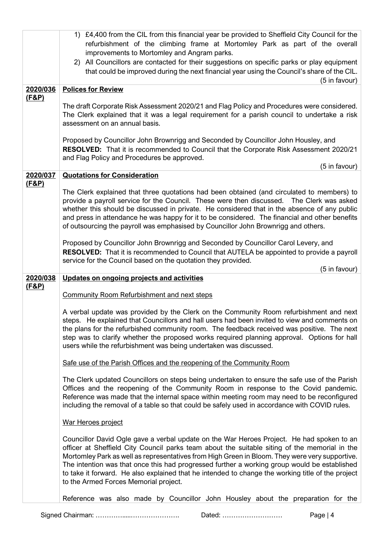| (5 in favour)<br><b>Polices for Review</b><br>2020/036<br><u>(F&amp;P)</u><br>The draft Corporate Risk Assessment 2020/21 and Flag Policy and Procedures were considered.<br>The Clerk explained that it was a legal requirement for a parish council to undertake a risk<br>assessment on an annual basis.                                                                                                                                                                                                                                |
|--------------------------------------------------------------------------------------------------------------------------------------------------------------------------------------------------------------------------------------------------------------------------------------------------------------------------------------------------------------------------------------------------------------------------------------------------------------------------------------------------------------------------------------------|
|                                                                                                                                                                                                                                                                                                                                                                                                                                                                                                                                            |
|                                                                                                                                                                                                                                                                                                                                                                                                                                                                                                                                            |
| Proposed by Councillor John Brownrigg and Seconded by Councillor John Housley, and<br><b>RESOLVED:</b> That it is recommended to Council that the Corporate Risk Assessment 2020/21<br>and Flag Policy and Procedures be approved.<br>(5 in favour)                                                                                                                                                                                                                                                                                        |
| 2020/037<br><b>Quotations for Consideration</b>                                                                                                                                                                                                                                                                                                                                                                                                                                                                                            |
| <u>(F&amp;P)</u><br>The Clerk explained that three quotations had been obtained (and circulated to members) to<br>provide a payroll service for the Council. These were then discussed. The Clerk was asked<br>whether this should be discussed in private. He considered that in the absence of any public<br>and press in attendance he was happy for it to be considered. The financial and other benefits<br>of outsourcing the payroll was emphasised by Councillor John Brownrigg and others.                                        |
| Proposed by Councillor John Brownrigg and Seconded by Councillor Carol Levery, and<br><b>RESOLVED:</b> That it is recommended to Council that AUTELA be appointed to provide a payroll<br>service for the Council based on the quotation they provided.<br>(5 in favour)                                                                                                                                                                                                                                                                   |
|                                                                                                                                                                                                                                                                                                                                                                                                                                                                                                                                            |
| Updates on ongoing projects and activities<br>2020/038                                                                                                                                                                                                                                                                                                                                                                                                                                                                                     |
| <u>(F&amp;P)</u><br><b>Community Room Refurbishment and next steps</b>                                                                                                                                                                                                                                                                                                                                                                                                                                                                     |
| A verbal update was provided by the Clerk on the Community Room refurbishment and next<br>steps. He explained that Councillors and hall users had been invited to view and comments on<br>the plans for the refurbished community room. The feedback received was positive. The next<br>step was to clarify whether the proposed works required planning approval. Options for hall<br>users while the refurbishment was being undertaken was discussed.                                                                                   |
| Safe use of the Parish Offices and the reopening of the Community Room                                                                                                                                                                                                                                                                                                                                                                                                                                                                     |
| The Clerk updated Councillors on steps being undertaken to ensure the safe use of the Parish<br>Offices and the reopening of the Community Room in response to the Covid pandemic.<br>Reference was made that the internal space within meeting room may need to be reconfigured<br>including the removal of a table so that could be safely used in accordance with COVID rules.                                                                                                                                                          |
| War Heroes project                                                                                                                                                                                                                                                                                                                                                                                                                                                                                                                         |
| Councillor David Ogle gave a verbal update on the War Heroes Project. He had spoken to an<br>officer at Sheffield City Council parks team about the suitable siting of the memorial in the<br>Mortomley Park as well as representatives from High Green in Bloom. They were very supportive.<br>The intention was that once this had progressed further a working group would be established<br>to take it forward. He also explained that he intended to change the working title of the project<br>to the Armed Forces Memorial project. |